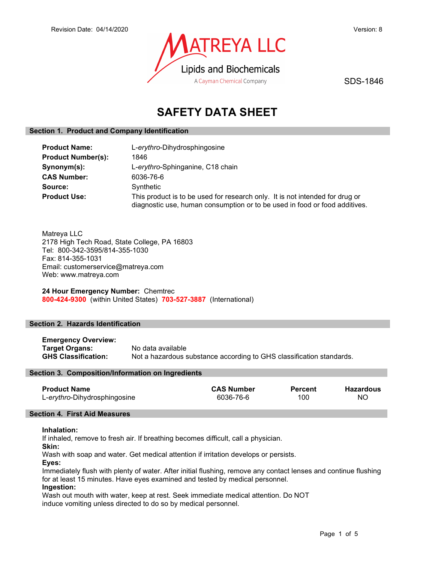

SDS-1846

# SAFETY DATA SHEET

# Section 1. Product and Company Identification

| <b>Product Name:</b>      | L-erythro-Dihydrosphingosine                                                                                                                               |
|---------------------------|------------------------------------------------------------------------------------------------------------------------------------------------------------|
| <b>Product Number(s):</b> | 1846                                                                                                                                                       |
| Synonym(s):               | L-erythro-Sphinganine, C18 chain                                                                                                                           |
| <b>CAS Number:</b>        | 6036-76-6                                                                                                                                                  |
| Source:                   | Synthetic                                                                                                                                                  |
| <b>Product Use:</b>       | This product is to be used for research only. It is not intended for drug or<br>diagnostic use, human consumption or to be used in food or food additives. |

Matreya LLC 2178 High Tech Road, State College, PA 16803 Tel: 800-342-3595/814-355-1030 Fax: 814-355-1031 Email: customerservice@matreya.com Web: www.matreya.com

24 Hour Emergency Number: Chemtrec 800-424-9300 (within United States) 703-527-3887 (International)

# Section 2. Hazards Identification

Emergency Overview: **Target Organs:** No data available<br> **GHS Classification:** Not a hazardous s Not a hazardous substance according to GHS classification standards.

# Section 3. Composition/Information on Ingredients

| <b>CAS Number</b><br>Percent | Hazardous |
|------------------------------|-----------|
| 100                          | ΝC        |
|                              |           |

# Section 4. First Aid Measures

# Inhalation:

If inhaled, remove to fresh air. If breathing becomes difficult, call a physician.

Skin:

Wash with soap and water. Get medical attention if irritation develops or persists.

Eyes:

Immediately flush with plenty of water. After initial flushing, remove any contact lenses and continue flushing for at least 15 minutes. Have eyes examined and tested by medical personnel.

Ingestion:

Wash out mouth with water, keep at rest. Seek immediate medical attention. Do NOT induce vomiting unless directed to do so by medical personnel.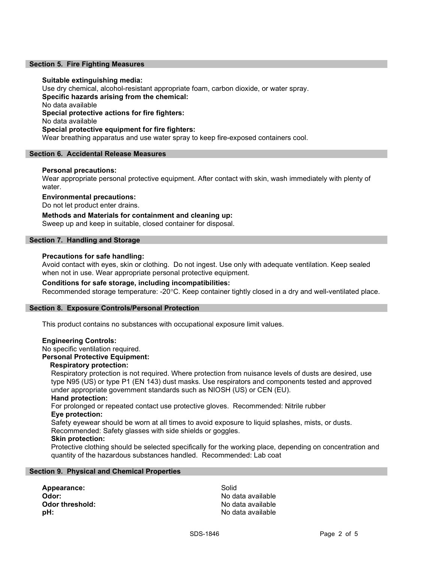#### Section 5. Fire Fighting Measures

#### Suitable extinguishing media:

Use dry chemical, alcohol-resistant appropriate foam, carbon dioxide, or water spray. Specific hazards arising from the chemical: No data available Special protective actions for fire fighters: No data available Special protective equipment for fire fighters: Wear breathing apparatus and use water spray to keep fire-exposed containers cool.

#### Section 6. Accidental Release Measures

### Personal precautions:

Wear appropriate personal protective equipment. After contact with skin, wash immediately with plenty of water.

### Environmental precautions:

Do not let product enter drains.

Methods and Materials for containment and cleaning up: Sweep up and keep in suitable, closed container for disposal.

#### Section 7. Handling and Storage

#### Precautions for safe handling:

Avoid contact with eyes, skin or clothing. Do not ingest. Use only with adequate ventilation. Keep sealed when not in use. Wear appropriate personal protective equipment.

#### Conditions for safe storage, including incompatibilities:

Recommended storage temperature: -20°C. Keep container tightly closed in a dry and well-ventilated place.

#### Section 8. Exposure Controls/Personal Protection

This product contains no substances with occupational exposure limit values.

#### Engineering Controls:

No specific ventilation required.

#### Personal Protective Equipment:

### Respiratory protection:

Respiratory protection is not required. Where protection from nuisance levels of dusts are desired, use type N95 (US) or type P1 (EN 143) dust masks. Use respirators and components tested and approved under appropriate government standards such as NIOSH (US) or CEN (EU).

# Hand protection:

For prolonged or repeated contact use protective gloves. Recommended: Nitrile rubber Eye protection:

Safety eyewear should be worn at all times to avoid exposure to liquid splashes, mists, or dusts. Recommended: Safety glasses with side shields or goggles.

# Skin protection:

Protective clothing should be selected specifically for the working place, depending on concentration and quantity of the hazardous substances handled. Recommended: Lab coat

#### Section 9. Physical and Chemical Properties

Appearance: Solid Odor: No data available **pH:**  $\blacksquare$ 

No data available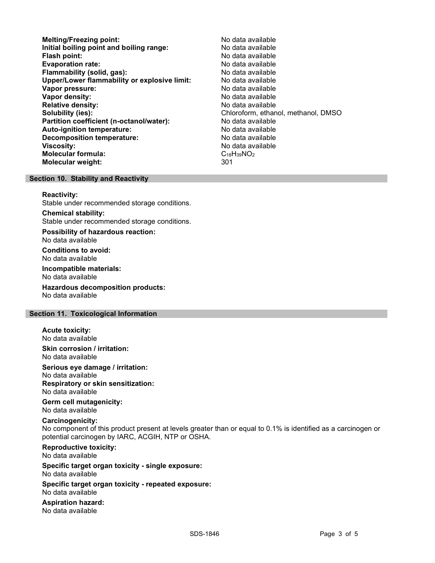- Melting/Freezing point: Melting/Freezing point: Initial boiling point and boiling range: No data available Flash point: No data available **Evaporation rate:** No data available Flammability (solid, gas): No data available Upper/Lower flammability or explosive limit: No data available Vapor pressure: No data available Vapor density: No data available Relative density: No data available Solubility (ies):<br> **Solubility (ies):** Chloroform, ethanol, methanol, DMSO<br> **Partition coefficient (n-octanol/water):** No data available Partition coefficient (n-octanol/water): Auto-ignition temperature: No data available Decomposition temperature: No data available Viscosity: No data available Molecular formula: C<sub>18</sub>H<sub>39</sub>NO<sub>2</sub> Molecular weight: 301
- 

#### Section 10. Stability and Reactivity

#### Reactivity:

Stable under recommended storage conditions.

Chemical stability: Stable under recommended storage conditions.

Possibility of hazardous reaction: No data available

Conditions to avoid: No data available

Incompatible materials: No data available

Hazardous decomposition products: No data available

### Section 11. Toxicological Information

Acute toxicity:

No data available

Skin corrosion / irritation: No data available

Serious eye damage / irritation:

No data available Respiratory or skin sensitization:

No data available

Germ cell mutagenicity: No data available

# Carcinogenicity:

No component of this product present at levels greater than or equal to 0.1% is identified as a carcinogen or potential carcinogen by IARC, ACGIH, NTP or OSHA.

Reproductive toxicity: No data available

Specific target organ toxicity - single exposure: No data available

Specific target organ toxicity - repeated exposure: No data available

Aspiration hazard: No data available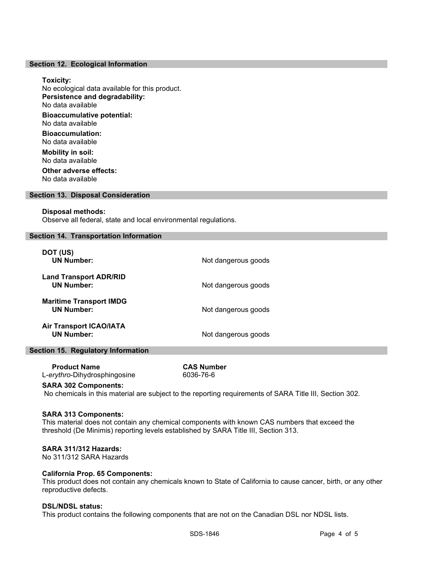#### Section 12. Ecological Information

#### Toxicity:

No ecological data available for this product. Persistence and degradability: No data available Bioaccumulative potential: No data available

Bioaccumulation: No data available

Mobility in soil: No data available Other adverse effects:

No data available

# Section 13. Disposal Consideration

#### Disposal methods:

Observe all federal, state and local environmental regulations.

#### Section 14. Transportation Information

| DOT (US)<br><b>UN Number:</b>                       | Not dangerous goods |
|-----------------------------------------------------|---------------------|
| <b>Land Transport ADR/RID</b><br><b>UN Number:</b>  | Not dangerous goods |
| <b>Maritime Transport IMDG</b><br><b>UN Number:</b> | Not dangerous goods |
| <b>Air Transport ICAO/IATA</b><br><b>UN Number:</b> | Not dangerous goods |

# Section 15. Regulatory Information

 Product Name CAS Number L-erythro-Dihydrosphingosine 6036-76-6

#### SARA 302 Components:

No chemicals in this material are subject to the reporting requirements of SARA Title III, Section 302.

#### SARA 313 Components:

This material does not contain any chemical components with known CAS numbers that exceed the threshold (De Minimis) reporting levels established by SARA Title III, Section 313.

#### SARA 311/312 Hazards:

No 311/312 SARA Hazards

#### California Prop. 65 Components:

This product does not contain any chemicals known to State of California to cause cancer, birth, or any other reproductive defects.

#### DSL/NDSL status:

This product contains the following components that are not on the Canadian DSL nor NDSL lists.